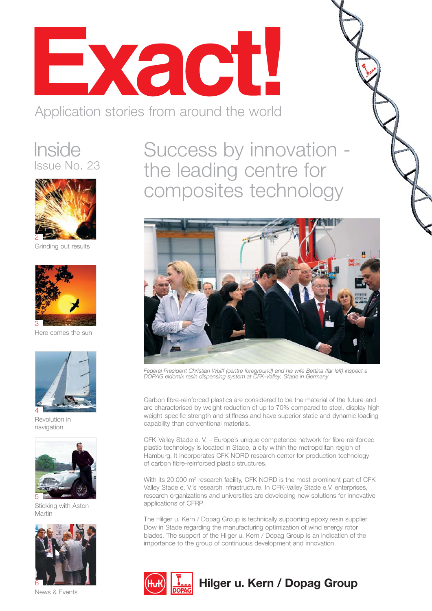

Application stories from around the world

### **Inside** Issue No. 23



Grinding out results



Here comes the sun



Revolution in navigation



Sticking with Aston Martin



News & Events

Success by innovation the leading centre for composites technology



*Federal President Christian Wulff (centre foreground) and his wife Bettina (far left) inspect a DOPAG eldomix resin dispensing system at CFK-Valley, Stade in Germany*

Carbon fibre-reinforced plastics are considered to be the material of the future and are characterised by weight reduction of up to 70% compared to steel, display high weight-specific strength and stiffness and have superior static and dynamic loading capability than conventional materials.

CFK-Valley Stade e. V. – Europe's unique competence network for fibre-reinforced plastic technology is located in Stade, a city within the metropolitan region of Hamburg. It incorporates CFK NORD research center for production technology of carbon fibre-reinforced plastic structures.

With its 20.000 m² research facility, CFK NORD is the most prominent part of CFK-Valley Stade e. V.'s research infrastructure. In CFK-Valley Stade e.V. enterprises, research organizations and universities are developing new solutions for innovative applications of CFRP.

The Hilger u. Kern / Dopag Group is technically supporting epoxy resin supplier Dow in Stade regarding the manufacturing optimization of wind energy rotor blades. The support of the Hilger u. Kern / Dopag Group is an indication of the importance to the group of continuous development and innovation.



### **Hilger u. Kern / Dopag Group**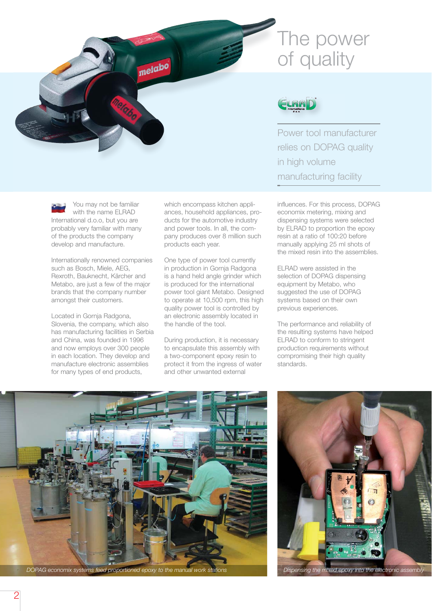# The power of quality



Power tool manufacturer relies on DOPAG quality in high volume manufacturing facility

influences. For this process, DOPAG economix metering, mixing and dispensing systems were selected by ELRAD to proportion the epoxy resin at a ratio of 100:20 before manually applying 25 ml shots of the mixed resin into the assemblies.

ELRAD were assisted in the selection of DOPAG dispensing equipment by Metabo, who suggested the use of DOPAG systems based on their own previous experiences.

The performance and reliability of the resulting systems have helped ELRAD to conform to stringent production requirements without compromising their high quality standards.



*DOPAG economix systems feed proportioned epoxy to the manual work stations Dispensing the mixed epoxy into the electronic assembly*



You may not be familiar with the name ELRAD International d.o.o, but you are probably very familiar with many of the products the company develop and manufacture.

Internationally renowned companies such as Bosch, Miele, AEG, Rexroth, Bauknecht, Kärcher and Metabo, are just a few of the major brands that the company number amongst their customers.

Located in Gornja Radgona, Slovenia, the company, which also has manufacturing facilities in Serbia and China, was founded in 1996 and now employs over 300 people in each location. They develop and manufacture electronic assemblies for many types of end products,

ances, household appliances, products for the automotive industry and power tools. In all, the company produces over 8 million such products each year.

which encompass kitchen appli-

metabo

One type of power tool currently in production in Gornja Radgona is a hand held angle grinder which is produced for the international power tool giant Metabo. Designed to operate at 10,500 rpm, this high quality power tool is controlled by an electronic assembly located in the handle of the tool.

During production, it is necessary to encapsulate this assembly with a two-component epoxy resin to protect it from the ingress of water and other unwanted external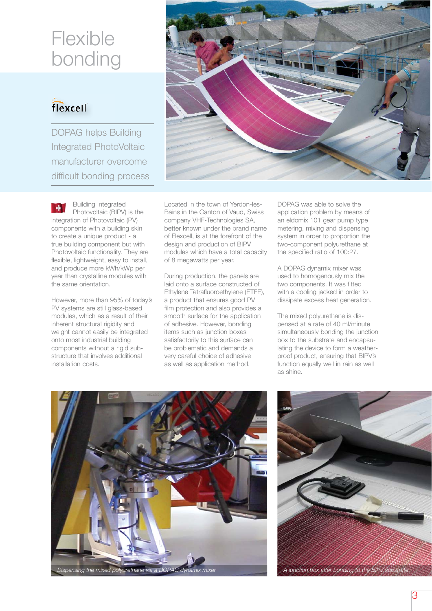# Flexible bonding

### flexcell

DOPAG helps Building Integrated PhotoVoltaic manufacturer overcome difficult bonding process



However, more than 95% of today's PV systems are still glass-based modules, which as a result of their inherent structural rigidity and weight cannot easily be integrated onto most industrial building components without a rigid substructure that involves additional installation costs.

Located in the town of Yerdon-les-Bains in the Canton of Vaud, Swiss company VHF-Technologies SA, better known under the brand name of Flexcell, is at the forefront of the design and production of BIPV modules which have a total capacity of 8 megawatts per year.

During production, the panels are laid onto a surface constructed of Ethylene Tetrafluoroethylene (ETFE), a product that ensures good PV film protection and also provides a smooth surface for the application of adhesive. However, bonding items such as junction boxes satisfactorily to this surface can be problematic and demands a very careful choice of adhesive as well as application method.

DOPAG was able to solve the application problem by means of an eldomix 101 gear pump type metering, mixing and dispensing system in order to proportion the two-component polyurethane at the specified ratio of 100:27.

A DOPAG dynamix mixer was used to homogenously mix the two components. It was fitted with a cooling jacked in order to dissipate excess heat generation.

The mixed polyurethane is dispensed at a rate of 40 ml/minute simultaneously bonding the junction box to the substrate and encapsulating the device to form a weatherproof product, ensuring that BIPV's function equally well in rain as well as shine.



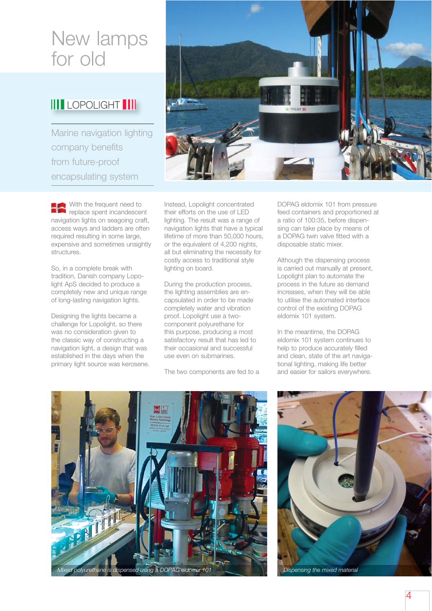## New lamps for old

#### **IIII** LOPOLIGHT ||||

Marine navigation lighting company benefits from future-proof encapsulating system

With the frequent need to replace spent incandescent navigation lights on seagoing craft, access ways and ladders are often required resulting in some large. expensive and sometimes unsightly structures.

So, in a complete break with tradition, Danish company Lopolight ApS decided to produce a completely new and unique range of long-lasting navigation lights.

Designing the lights became a challenge for Lopolight, so there was no consideration given to the classic way of constructing a navigation light, a design that was established in the days when the primary light source was kerosene.



Instead, Lopolight concentrated their efforts on the use of LED lighting. The result was a range of navigation lights that have a typical lifetime of more than 50,000 hours, or the equivalent of 4,200 nights, all but eliminating the necessity for costly access to traditional style lighting on board.

During the production process, the lighting assemblies are encapsulated in order to be made completely water and vibration proof. Lopolight use a twocomponent polyurethane for this purpose, producing a most satisfactory result that has led to their occasional and successful use even on submarines.

The two components are fed to a

DOPAG eldomix 101 from pressure feed containers and proportioned at a ratio of 100:35, before dispensing can take place by means of a DOPAG twin valve fitted with a disposable static mixer.

Although the dispensing process is carried out manually at present, Lopolight plan to automate the process in the future as demand increases, when they will be able to utilise the automated interface control of the existing DOPAG eldomix 101 system.

In the meantime, the DOPAG eldomix 101 system continues to help to produce accurately filled and clean, state of the art navigational lighting, making life better and easier for sailors everywhere.



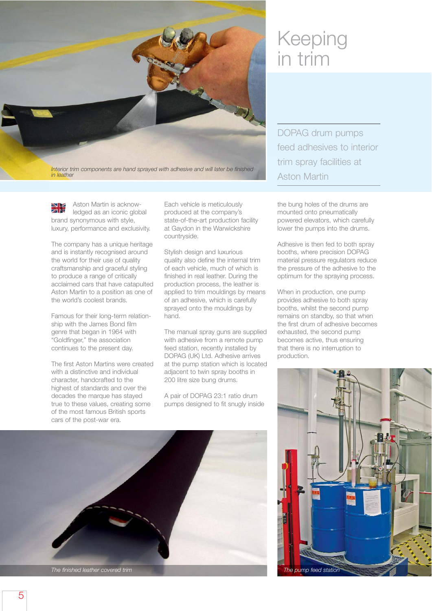

Aston Martin is acknowledged as an iconic global brand synonymous with style, luxury, performance and exclusivity.

The company has a unique heritage and is instantly recognised around the world for their use of quality craftsmanship and graceful styling to produce a range of critically acclaimed cars that have catapulted Aston Martin to a position as one of the world's coolest brands.

Famous for their long-term relationship with the James Bond film genre that began in 1964 with "Goldfinger," the association continues to the present day.

The first Aston Martins were created with a distinctive and individual character, handcrafted to the highest of standards and over the decades the marque has stayed true to these values, creating some of the most famous British sports cars of the post-war era.

Each vehicle is meticulously produced at the company's state-of-the-art production facility at Gaydon in the Warwickshire countryside.

Stylish design and luxurious quality also define the internal trim of each vehicle, much of which is finished in real leather. During the production process, the leather is applied to trim mouldings by means of an adhesive, which is carefully sprayed onto the mouldings by hand.

The manual spray guns are supplied with adhesive from a remote pump feed station, recently installed by DOPAG (UK) Ltd. Adhesive arrives at the pump station which is located adjacent to twin spray booths in 200 litre size bung drums.

A pair of DOPAG 23:1 ratio drum pumps designed to fit snugly inside



# Keeping in trim

DOPAG drum pumps feed adhesives to interior trim spray facilities at Aston Martin

the bung holes of the drums are mounted onto pneumatically powered elevators, which carefully lower the pumps into the drums.

Adhesive is then fed to both spray booths, where precision DOPAG material pressure regulators reduce the pressure of the adhesive to the optimum for the spraying process.

When in production, one pump provides adhesive to both spray booths, whilst the second pump remains on standby, so that when the first drum of adhesive becomes exhausted, the second pump becomes active, thus ensuring that there is no interruption to production.